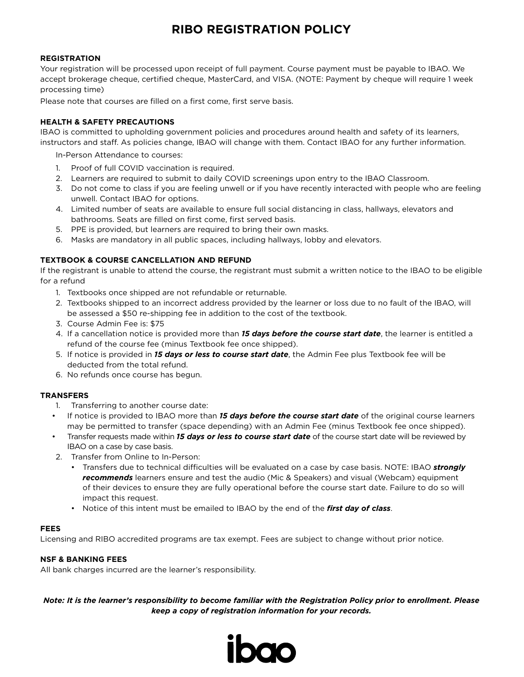# **RIBO REGISTRATION POLICY**

## **REGISTRATION**

Your registration will be processed upon receipt of full payment. Course payment must be payable to IBAO. We accept brokerage cheque, certified cheque, MasterCard, and VISA. (NOTE: Payment by cheque will require 1 week processing time)

Please note that courses are filled on a first come, first serve basis.

### **HEALTH & SAFETY PRECAUTIONS**

IBAO is committed to upholding government policies and procedures around health and safety of its learners, instructors and staff. As policies change, IBAO will change with them. Contact IBAO for any further information.

In-Person Attendance to courses:

- 1. Proof of full COVID vaccination is required.
- 2. Learners are required to submit to daily COVID screenings upon entry to the IBAO Classroom.
- 3. Do not come to class if you are feeling unwell or if you have recently interacted with people who are feeling unwell. Contact IBAO for options.
- 4. Limited number of seats are available to ensure full social distancing in class, hallways, elevators and bathrooms. Seats are filled on first come, first served basis.
- 5. PPE is provided, but learners are required to bring their own masks.
- 6. Masks are mandatory in all public spaces, including hallways, lobby and elevators.

## **TEXTBOOK & COURSE CANCELLATION AND REFUND**

If the registrant is unable to attend the course, the registrant must submit a written notice to the IBAO to be eligible for a refund

- 1. Textbooks once shipped are not refundable or returnable.
- 2. Textbooks shipped to an incorrect address provided by the learner or loss due to no fault of the IBAO, will be assessed a \$50 re-shipping fee in addition to the cost of the textbook.
- 3. Course Admin Fee is: \$75
- 4. If a cancellation notice is provided more than *15 days before the course start date*, the learner is entitled a refund of the course fee (minus Textbook fee once shipped).
- 5. If notice is provided in *15 days or less to course start date*, the Admin Fee plus Textbook fee will be deducted from the total refund.
- 6. No refunds once course has begun.

### **TRANSFERS**

- 1. Transferring to another course date:
- If notice is provided to IBAO more than *15 days before the course start date* of the original course learners may be permitted to transfer (space depending) with an Admin Fee (minus Textbook fee once shipped).
- Transfer requests made within *15 days or less to course start date* of the course start date will be reviewed by IBAO on a case by case basis.
- 2. Transfer from Online to In-Person:
	- Transfers due to technical difficulties will be evaluated on a case by case basis. NOTE: IBAO *strongly recommends* learners ensure and test the audio (Mic & Speakers) and visual (Webcam) equipment of their devices to ensure they are fully operational before the course start date. Failure to do so will impact this request.
	- Notice of this intent must be emailed to IBAO by the end of the *first day of class*.

### **FEES**

Licensing and RIBO accredited programs are tax exempt. Fees are subject to change without prior notice.

### **NSF & BANKING FEES**

All bank charges incurred are the learner's responsibility.

*Note: It is the learner's responsibility to become familiar with the Registration Policy prior to enrollment. Please keep a copy of registration information for your records.*

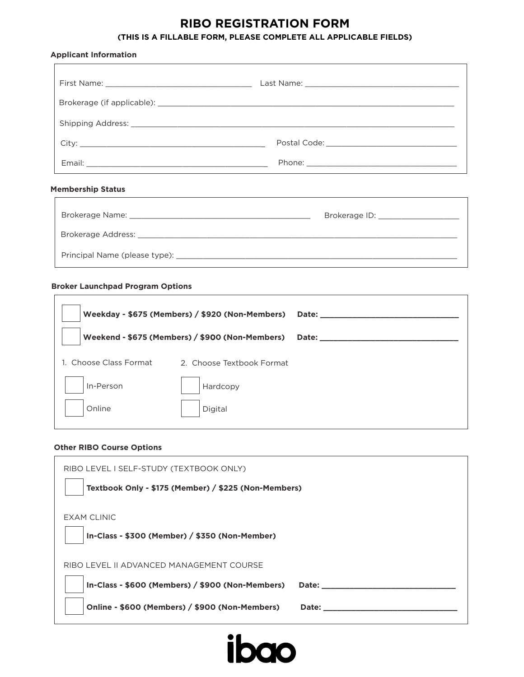# **RIBO REGISTRATION FORM**

## **(THIS IS A FILLABLE FORM, PLEASE COMPLETE ALL APPLICABLE FIELDS)**

|  | <b>Applicant Information</b> |
|--|------------------------------|
|--|------------------------------|

## **Membership Status**

| Brokerage Name:                                           | Brokerage ID: |
|-----------------------------------------------------------|---------------|
| Brokerage Address: The Contract of the Brokerage Address: |               |
| Principal Name (please type): ______                      |               |

#### **Broker Launchpad Program Options**

| Weekday - \$675 (Members) / \$920 (Non-Members) |                           | <b>Date:</b> |
|-------------------------------------------------|---------------------------|--------------|
| Weekend - \$675 (Members) / \$900 (Non-Members) |                           | <b>Date:</b> |
| 1. Choose Class Format                          | 2. Choose Textbook Format |              |
| In-Person                                       | Hardcopy                  |              |
| Online                                          | Digital                   |              |

## **Other RIBO Course Options**

| RIBO LEVEL I SELF-STUDY (TEXTBOOK ONLY)                          |  |
|------------------------------------------------------------------|--|
| Textbook Only - \$175 (Member) / \$225 (Non-Members)             |  |
| EXAM CLINIC                                                      |  |
| In-Class - \$300 (Member) / \$350 (Non-Member)                   |  |
| RIBO LEVEL II ADVANCED MANAGEMENT COURSE                         |  |
| In-Class - \$600 (Members) / \$900 (Non-Members)<br><b>Date:</b> |  |
| Online - \$600 (Members) / \$900 (Non-Members)<br><b>Date:</b>   |  |